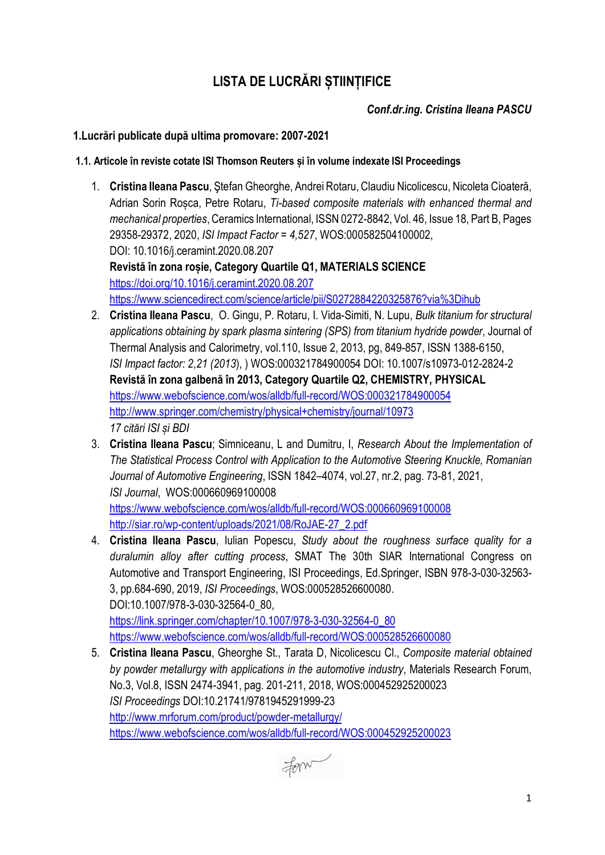# **LISTA DE LUCRĂRI ȘTIINȚIFICE**

*Conf.dr.ing. Cristina Ileana PASCU*

## **1.Lucrări publicate după ultima promovare: 2007-2021**

#### **1.1. Articole în reviste cotate ISI Thomson Reuters și în volume indexate ISI Proceedings**

- 1. **Cristina Ileana Pascu**, Ştefan Gheorghe, Andrei Rotaru, Claudiu Nicolicescu, Nicoleta Cioateră, Adrian Sorin Roșca, Petre Rotaru, *Ti-based composite materials with enhanced thermal and mechanical properties*, Ceramics International, ISSN 0272-8842, Vol. 46, Issue 18, Part B, Pages 29358-29372, 2020, *ISI Impact Factor = 4,527*, WOS:000582504100002, DOI: 10.1016/j.ceramint.2020.08.207 **Revistă în zona roșie, Category Quartile Q1, MATERIALS SCIENCE** <https://doi.org/10.1016/j.ceramint.2020.08.207> <https://www.sciencedirect.com/science/article/pii/S0272884220325876?via%3Dihub>
- 2. **Cristina Ileana Pascu**, O. Gingu, P. Rotaru, I. Vida-Simiti, N. Lupu, *Bulk titanium for structural applications obtaining by spark plasma sintering (SPS) from titanium hydride powder*, Journal of Thermal Analysis and Calorimetry, vol.110, Issue 2, 2013, pg, 849-857, ISSN 1388-6150, *ISI Impact factor: 2,21 (2013*), ) WOS:000321784900054 DOI: 10.1007/s10973-012-2824-2 **Revistă în zona galbenă în 2013, Category Quartile Q2, CHEMISTRY, PHYSICAL** [https://www.webofscience.com/wos/alldb/full](https://www.webofscience.com/wos/alldb/full-record/WOS:000321784900054)-record/WOS:000321784900054 <http://www.springer.com/chemistry/physical+chemistry/journal/10973> *17 citări ISI și BDI*
- 3. **Cristina Ileana Pascu**; Simniceanu, L and Dumitru, I, *Research About the Implementation of The Statistical Process Control with Application to the Automotive Steering Knuckle, Romanian Journal of Automotive Engineering*, ISSN 1842–4074, vol.27, nr.2, pag. 73-81, 2021, *ISI Journal*, WOS:000660969100008 [https://www.webofscience.com/wos/alldb/full](https://www.webofscience.com/wos/alldb/full-record/WOS:000660969100008)-record/WOS:000660969100008 http://siar.ro/wp-[content/uploads/2021/08/RoJAE](http://siar.ro/wp-content/uploads/2021/08/RoJAE-27_2.pdf)-27\_2.pdf
- 4. **Cristina Ileana Pascu**, Iulian Popescu, *Study about the roughness surface quality for a duralumin alloy after cutting process*, SMAT The 30th SIAR International Congress on Automotive and Transport Engineering, ISI Proceedings, Ed.Springer, ISBN 978-3-030-32563- 3, pp.684-690, 2019, *ISI Proceedings*, WOS:000528526600080. DOI:10.1007/978-3-030-32564-0\_80, [https://link.springer.com/chapter/10.1007/978](https://link.springer.com/chapter/10.1007/978-3-030-32564-0_80)-3-030-32564-0\_80 [https://www.webofscience.com/wos/alldb/full](https://www.webofscience.com/wos/alldb/full-record/WOS:000528526600080)-record/WOS:000528526600080
- 5. **Cristina Ileana Pascu**, Gheorghe St., Tarata D, Nicolicescu Cl., *Composite material obtained by powder metallurgy with applications in the automotive industry*, Materials Research Forum, No.3, Vol.8, ISSN 2474-3941, pag. 201-211, 2018, WOS:000452925200023 *ISI Proceedings* DOI:10.21741/9781945291999-23 [http://www.mrforum.com/product/powder](http://www.mrforum.com/product/powder-metallurgy/)-metallurgy/ [https://www.webofscience.com/wos/alldb/full](https://www.webofscience.com/wos/alldb/full-record/WOS:000452925200023)-record/WOS:000452925200023

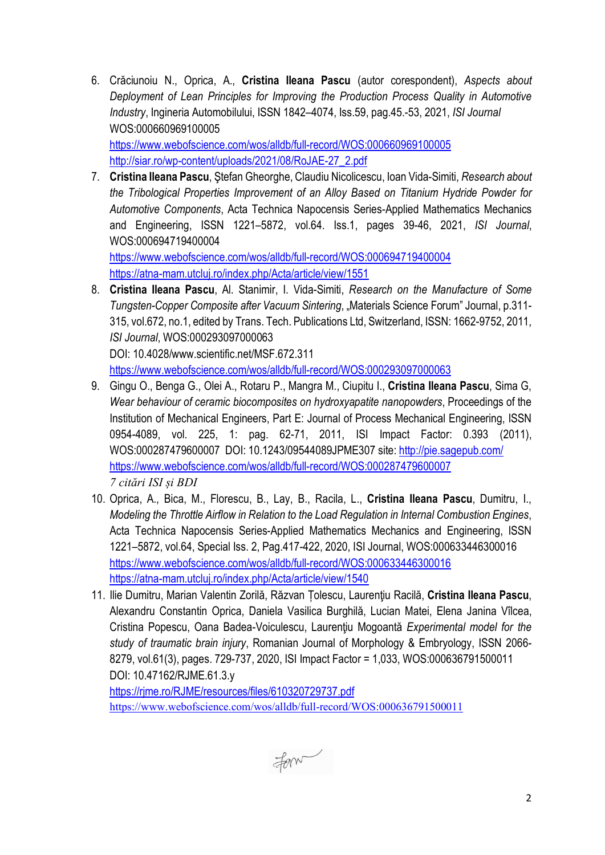6. Crăciunoiu N., Oprica, A., **Cristina Ileana Pascu** (autor corespondent), *Aspects about Deployment of Lean Principles for Improving the Production Process Quality in Automotive Industry*, Ingineria Automobilului, ISSN 1842–4074, Iss.59, pag.45.-53, 2021, *ISI Journal* WOS:000660969100005 [https://www.webofscience.com/wos/alldb/full](https://www.webofscience.com/wos/alldb/full-record/WOS:000660969100005)-record/WOS:000660969100005

http://siar.ro/wp-[content/uploads/2021/08/RoJAE](http://siar.ro/wp-content/uploads/2021/08/RoJAE-27_2.pdf)-27\_2.pdf

7. **Cristina Ileana Pascu**, Ştefan Gheorghe, Claudiu Nicolicescu, Ioan Vida-Simiti, *Research about the Tribological Properties Improvement of an Alloy Based on Titanium Hydride Powder for Automotive Components*, Acta Technica Napocensis Series-Applied Mathematics Mechanics and Engineering, ISSN 1221–5872, vol.64. Iss.1, pages 39-46, 2021, *ISI Journal*, WOS:000694719400004

[https://www.webofscience.com/wos/alldb/full](https://www.webofscience.com/wos/alldb/full-record/WOS:000694719400004)-record/WOS:000694719400004 https://atna-[mam.utcluj.ro/index.php/Acta/article/view/1551](https://atna-mam.utcluj.ro/index.php/Acta/article/view/1551)

8. **Cristina Ileana Pascu**, Al. Stanimir, I. Vida-Simiti, *Research on the Manufacture of Some Tungsten-Copper Composite after Vacuum Sintering*, "Materials Science Forum" Journal, p.311- 315, vol.672, no.1, edited by Trans. Tech. Publications Ltd, Switzerland, ISSN: 1662-9752, 2011, *ISI Journal*, WOS:000293097000063 DOI: 10.4028/www.scientific.net/MSF.672.311

[https://www.webofscience.com/wos/alldb/full](https://www.webofscience.com/wos/alldb/full-record/WOS:000293097000063)-record/WOS:000293097000063

- 9. Gingu O., Benga G., Olei A., Rotaru P., Mangra M., Ciupitu I., **Cristina Ileana Pascu**, Sima G, *Wear behaviour of ceramic biocomposites on hydroxyapatite nanopowders*, Proceedings of the Institution of Mechanical Engineers, Part E: Journal of Process Mechanical Engineering, ISSN 0954-4089, vol. 225, 1: pag. 62-71, 2011, ISI Impact Factor: 0.393 (2011), WOS:000287479600007 DOI: 10.1243/09544089JPME307 site:<http://pie.sagepub.com/> [https://www.webofscience.com/wos/alldb/full](https://www.webofscience.com/wos/alldb/full-record/WOS:000287479600007)-record/WOS:000287479600007 *7 citări ISI și BDI*
- 10. Oprica, A., Bica, M., Florescu, B., Lay, B., Racila, L., **Cristina Ileana Pascu**, Dumitru, I., *Modeling the Throttle Airflow in Relation to the Load Regulation in Internal Combustion Engines*, Acta Technica Napocensis Series-Applied Mathematics Mechanics and Engineering, ISSN 1221–5872, vol.64, Special Iss. 2, Pag.417-422, 2020, ISI Journal, WOS:000633446300016 [https://www.webofscience.com/wos/alldb/full](https://www.webofscience.com/wos/alldb/full-record/WOS:000633446300016)-record/WOS:000633446300016 https://atna-[mam.utcluj.ro/index.php/Acta/article/view/1540](https://atna-mam.utcluj.ro/index.php/Acta/article/view/1540)
- 11. Ilie Dumitru, Marian Valentin Zorilă, Răzvan Țolescu, Laurenţiu Racilă, **Cristina Ileana Pascu**, Alexandru Constantin Oprica, Daniela Vasilica Burghilă, Lucian Matei, Elena Janina Vîlcea, Cristina Popescu, Oana Badea-Voiculescu, Laurenţiu Mogoantă *Experimental model for the study of traumatic brain injury*, Romanian Journal of Morphology & Embryology, ISSN 2066- 8279, vol.61(3), pages. 729-737, 2020, ISI Impact Factor = 1,033, WOS:000636791500011 DOI: 10.47162/RJME.61.3.y

<https://rjme.ro/RJME/resources/files/610320729737.pdf> <https://www.webofscience.com/wos/alldb/full-record/WOS:000636791500011>

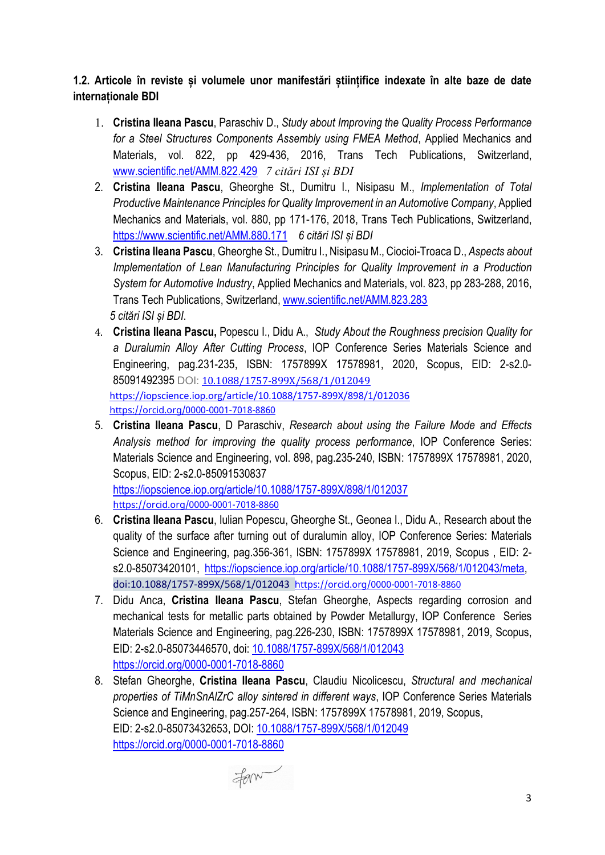## **1.2. Articole în reviste și volumele unor manifestări științifice indexate în alte baze de date internaționale BDI**

- 1. **Cristina Ileana Pascu**, Paraschiv D., *Study about Improving the Quality Process Performance for a Steel Structures Components Assembly using FMEA Method*, Applied Mechanics and Materials, vol. 822, pp 429-436, 2016, Trans Tech Publications, Switzerland, [www.scientific.net/AMM.822.429](http://www.scientific.net/AMM.822.429) *7 citări ISI și BDI*
- 2. **Cristina Ileana Pascu**, Gheorghe St., Dumitru I., Nisipasu M., *Implementation of Total Productive Maintenance Principles for Quality Improvement in an Automotive Company*, Applied Mechanics and Materials, vol. 880, pp 171-176, 2018, Trans Tech Publications, Switzerland, <https://www.scientific.net/AMM.880.171> *6 citări ISI și BDI*
- 3. **Cristina Ileana Pascu**, Gheorghe St., Dumitru I., Nisipasu M., Ciocioi-Troaca D., *Aspects about Implementation of Lean Manufacturing Principles for Quality Improvement in a Production System for Automotive Industry*, Applied Mechanics and Materials, vol. 823, pp 283-288, 2016, Trans Tech Publications, Switzerland[, www.scientific.net/AMM.823.283](http://www.scientific.net/AMM.823.283) *5 citări ISI și BDI*.
- 4. **Cristina Ileana Pascu,** Popescu I., Didu A., *Study About the Roughness precision Quality for a Duralumin Alloy After Cutting Process*, IOP Conference Series Materials Science and Engineering, pag.231-235, ISBN: 1757899X 17578981, 2020, Scopus, EID: 2-s2.0- 85091492395 DOI: [10.1088/1757-899X/568/1/012049](https://www.researchgate.net/deref/http%3A%2F%2Fdx.doi.org%2F10.1088%2F1757-899X%2F568%2F1%2F012049?_sg%5B0%5D=BhSdq2Xvj3t8e6vZb0bf_Fpfzcg3_mN46CgtVU4PTt8L7du4dPJCRUvXBHKIXcJgrdaKJNxORkRvwA9XMrThlGZEGQ.Ma8EubSpBy9oD6YK7iUlousAq2FEXCeAO2PUvb103LWYhI4eLRQ8rXLKBNLGV0o2GD_nbeUG8Akhp2AisirWBw) <https://iopscience.iop.org/article/10.1088/1757-899X/898/1/012036> <https://orcid.org/0000-0001-7018-8860>
- 5. **Cristina Ileana Pascu**, D Paraschiv, *Research about using the Failure Mode and Effects Analysis method for improving the quality process performance*, IOP Conference Series: Materials Science and Engineering, vol. 898, pag.235-240, ISBN: 1757899X 17578981, 2020, Scopus, EID: 2-s2.0-85091530837

[https://iopscience.iop.org/article/10.1088/1757](https://iopscience.iop.org/article/10.1088/1757-899X/898/1/012037)-899X/898/1/012037 <https://orcid.org/0000-0001-7018-8860>

- 6. **Cristina Ileana Pascu**, Iulian Popescu, Gheorghe St., Geonea I., Didu A., Research about the quality of the surface after turning out of duralumin alloy, IOP Conference Series: Materials Science and Engineering, pag.356-361, ISBN: 1757899X 17578981, 2019, Scopus , EID: 2 s2.0-85073420101, [https://iopscience.iop.org/article/10.1088/1757](https://iopscience.iop.org/article/10.1088/1757-899X/568/1/012043/meta)-899X/568/1/012043/meta, doi:10.1088/1757-899X/568/1/012043 <https://orcid.org/0000-0001-7018-8860>
- 7. Didu Anca, **Cristina Ileana Pascu**, Stefan Gheorghe, Aspects regarding corrosion and mechanical tests for metallic parts obtained by Powder Metallurgy, IOP Conference Series Materials Science and Engineering, pag.226-230, ISBN: 1757899X 17578981, 2019, Scopus, EID: 2-s2.0-85073446570, doi: 10.1088/1757-[899X/568/1/012043](https://www.researchgate.net/deref/http%3A%2F%2Fdx.doi.org%2F10.1088%2F1757-899X%2F568%2F1%2F012043?_sg%5B0%5D=y14F5IO_VfafMVXHl3mX2Vm0C5SHpbkV0Lq9qpqv4EztJUsz__j8icd86KJAr9YCiJ72TjU0O-cL_rCjXpkl2tuMfA.VdbnTRANswdnkuI5fzl6Oryi8ivqQe_0kXyU4FIVIhy8mbRuAdr-LuMAcdQmJ04DXah8IJt7HFaQB2ShHDDBpg) [https://orcid.org/0000](https://orcid.org/0000-0001-7018-8860)-0001-7018-8860
- 8. Stefan Gheorghe, **Cristina Ileana Pascu**, Claudiu Nicolicescu, *Structural and mechanical properties of TiMnSnAlZrC alloy sintered in different ways*, IOP Conference Series Materials Science and Engineering, pag.257-264, ISBN: 1757899X 17578981, 2019, Scopus, EID: 2-s2.0-85073432653, DOI: 10.1088/1757-[899X/568/1/012049](https://www.researchgate.net/deref/http%3A%2F%2Fdx.doi.org%2F10.1088%2F1757-899X%2F568%2F1%2F012049?_sg%5B0%5D=oa570RvES5liARk5gJV2ceWywLQPDakBNjDGRXr7NG6R9K4Ij1FS4lGoZWzIgdhG6apIIU1FskK5zFpP5GxqkWt9Tg.d98exCZvH5HR1PQ8_pV1ayeKpbNttch1ATT6JqvJk5PWMHvPgFKrHafZ_q6Uxzoc1rxJQNwibLF8fPkkMwr0Hw) [https://orcid.org/0000](https://orcid.org/0000-0001-7018-8860)-0001-7018-8860

Form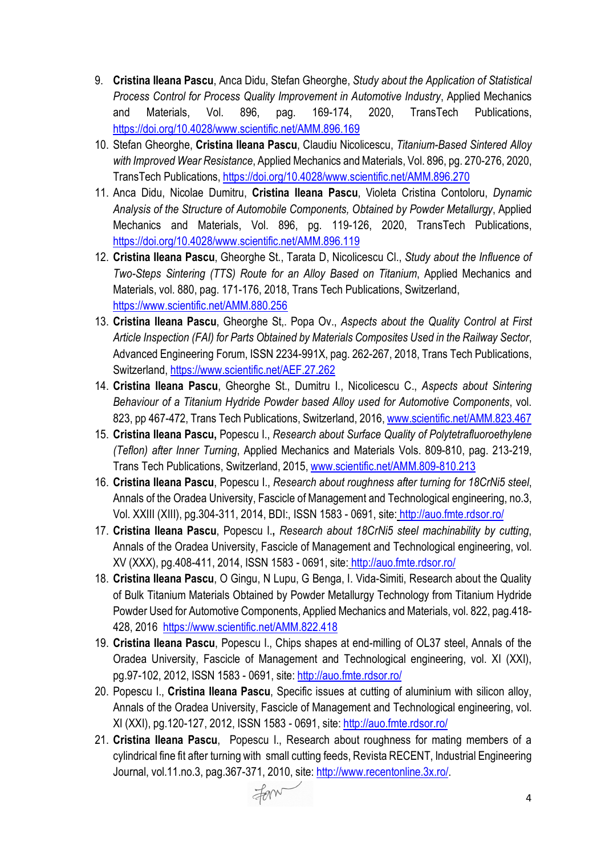- 9. **Cristina Ileana Pascu**, Anca Didu, Stefan Gheorghe, *Study about the Application of Statistical Process Control for Process Quality Improvement in Automotive Industry*, Applied Mechanics and Materials, Vol. 896, pag. 169-174, 2020, TransTech Publications, <https://doi.org/10.4028/www.scientific.net/AMM.896.169>
- 10. Stefan Gheorghe, **Cristina Ileana Pascu**, Claudiu Nicolicescu, *Titanium-Based Sintered Alloy with Improved Wear Resistance*, Applied Mechanics and Materials, Vol. 896, pg. 270-276, 2020, TransTech Publications[, https://doi.org/10.4028/www.scientific.net/AMM.896.270](https://doi.org/10.4028/www.scientific.net/AMM.896.270)
- 11. Anca Didu, Nicolae Dumitru, **Cristina Ileana Pascu**, Violeta Cristina Contoloru, *Dynamic Analysis of the Structure of Automobile Components, Obtained by Powder Metallurgy*, Applied Mechanics and Materials, Vol. 896, pg. 119-126, 2020, TransTech Publications, <https://doi.org/10.4028/www.scientific.net/AMM.896.119>
- 12. **Cristina Ileana Pascu**, Gheorghe St., Tarata D, Nicolicescu Cl., *Study about the Influence of Two-Steps Sintering (TTS) Route for an Alloy Based on Titanium*, Applied Mechanics and Materials, vol. 880, pag. 171-176, 2018, Trans Tech Publications, Switzerland, <https://www.scientific.net/AMM.880.256>
- 13. **Cristina Ileana Pascu**, Gheorghe St,. Popa Ov., *Aspects about the Quality Control at First Article Inspection (FAI) for Parts Obtained by Materials Composites Used in the Railway Sector*, Advanced Engineering Forum, ISSN 2234-991X, pag. 262-267, 2018, Trans Tech Publications, Switzerland[, https://www.scientific.net/AEF.27.262](https://www.scientific.net/AEF.27.262)
- 14. **Cristina Ileana Pascu**, Gheorghe St., Dumitru I., Nicolicescu C., *Aspects about Sintering Behaviour of a Titanium Hydride Powder based Alloy used for Automotive Components*, vol. 823, pp 467-472, Trans Tech Publications, Switzerland, 2016, [www.scientific.net/AMM.823.467](http://www.scientific.net/AMM.823.467)
- 15. **Cristina Ileana Pascu,** Popescu I., *Research about Surface Quality of Polytetrafluoroethylene (Teflon) after Inner Turning*, Applied Mechanics and Materials Vols. 809-810, pag. 213-219, Trans Tech Publications, Switzerland, 2015, [www.scientific.net/AMM.809](http://www.scientific.net/AMM.809-810.213)-810.213
- 16. **Cristina Ileana Pascu**, Popescu I., *Research about roughness after turning for 18CrNi5 steel*, Annals of the Oradea University, Fascicle of Management and Technological engineering, no.3, Vol. XXIII (XIII), pg.304-311, 2014, BDI:, ISSN 1583 - 0691, site: <http://auo.fmte.rdsor.ro/>
- 17. **Cristina Ileana Pascu**, Popescu I.**,** *Research about 18CrNi5 steel machinability by cutting*, Annals of the Oradea University, Fascicle of Management and Technological engineering, vol. XV (XXX), pg.408-411, 2014, ISSN 1583 - 0691, site: <http://auo.fmte.rdsor.ro/>
- 18. **Cristina Ileana Pascu**, O Gingu, N Lupu, G Benga, I. Vida-Simiti, Research about the Quality of Bulk Titanium Materials Obtained by Powder Metallurgy Technology from Titanium Hydride Powder Used for Automotive Components, Applied Mechanics and Materials, vol. 822, pag.418- 428, 2016<https://www.scientific.net/AMM.822.418>
- 19. **Cristina Ileana Pascu**, Popescu I., Chips shapes at end-milling of OL37 steel, Annals of the Oradea University, Fascicle of Management and Technological engineering, vol. XI (XXI), pg.97-102, 2012, ISSN 1583 - 0691, site:<http://auo.fmte.rdsor.ro/>
- 20. Popescu I., **Cristina Ileana Pascu**, Specific issues at cutting of aluminium with silicon alloy, Annals of the Oradea University, Fascicle of Management and Technological engineering, vol. XI (XXI), pg.120-127, 2012, ISSN 1583 - 0691, site:<http://auo.fmte.rdsor.ro/>
- 21. **Cristina Ileana Pascu**, Popescu I., Research about roughness for mating members of a cylindrical fine fit after turning with small cutting feeds, Revista RECENT, Industrial Engineering Journal, vol.11.no.3, pag.367-371, 2010, site:<http://www.recentonline.3x.ro/>.

Form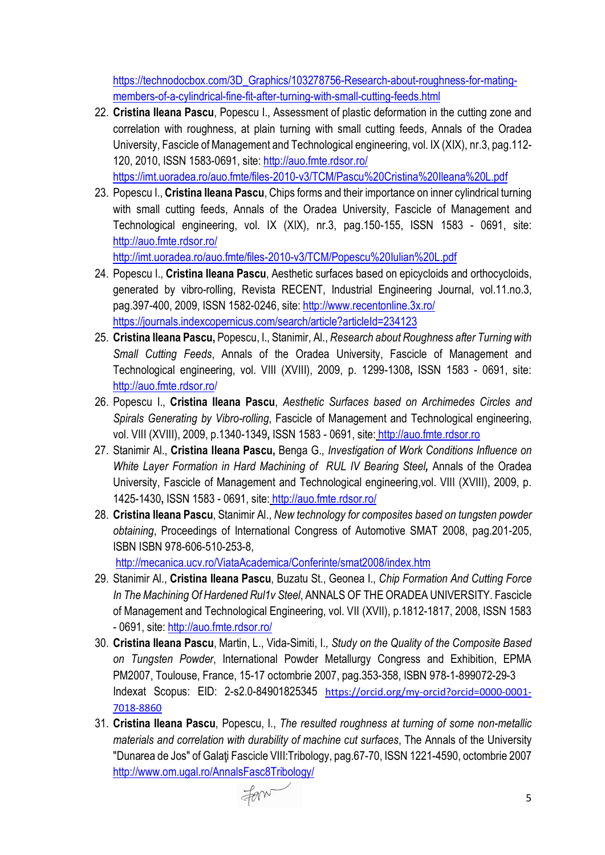[https://technodocbox.com/3D\\_Graphics/103278756](https://technodocbox.com/3D_Graphics/103278756-Research-about-roughness-for-mating-members-of-a-cylindrical-fine-fit-after-turning-with-small-cutting-feeds.html)-Research-about-roughness-for-matingmembers-of-a-cylindrical-fine-fit-after-turning-with-small-cutting-[feeds.html](https://technodocbox.com/3D_Graphics/103278756-Research-about-roughness-for-mating-members-of-a-cylindrical-fine-fit-after-turning-with-small-cutting-feeds.html)

22. **Cristina Ileana Pascu**, Popescu I., Assessment of plastic deformation in the cutting zone and correlation with roughness, at plain turning with small cutting feeds, Annals of the Oradea University, Fascicle of Management and Technological engineering, vol. IX (XIX), nr.3, pag.112- 120, 2010, ISSN 1583-0691, site:<http://auo.fmte.rdsor.ro/> https://imt.uoradea.ro/auo.fmte/files-2010-[v3/TCM/Pascu%20Cristina%20Ileana%20L.pdf](https://imt.uoradea.ro/auo.fmte/files-2010-v3/TCM/Pascu%20Cristina%20Ileana%20L.pdf)

23. Popescu I., **Cristina Ileana Pascu**, Chips forms and their importance on inner cylindrical turning with small cutting feeds, Annals of the Oradea University, Fascicle of Management and Technological engineering, vol. IX (XIX), nr.3, pag.150-155, ISSN 1583 - 0691, site: <http://auo.fmte.rdsor.ro/>

http://imt.uoradea.ro/auo.fmte/files-2010-[v3/TCM/Popescu%20Iulian%20L.pdf](http://imt.uoradea.ro/auo.fmte/files-2010-v3/TCM/Popescu%20Iulian%20L.pdf)

- 24. Popescu I., **Cristina Ileana Pascu**, Aesthetic surfaces based on epicycloids and orthocycloids, generated by vibro-rolling, Revista RECENT, Industrial Engineering Journal, vol.11.no.3, pag.397-400, 2009, ISSN 1582-0246, site:<http://www.recentonline.3x.ro/> <https://journals.indexcopernicus.com/search/article?articleId=234123>
- 25. **Cristina Ileana Pascu,** Popescu, I., Stanimir, Al., *Research about Roughness after Turning with Small Cutting Feeds*, Annals of the Oradea University, Fascicle of Management and Technological engineering, vol. VIII (XVIII), 2009, p. 1299-1308**,** ISSN 1583 - 0691, site: http://auo.fmte.rdsor.ro/
- 26. Popescu I., **Cristina Ileana Pascu**, *Aesthetic Surfaces based on Archimedes Circles and Spirals Generating by Vibro-rolling*, Fascicle of Management and Technological engineering, vol. VIII (XVIII), 2009, p.1340-1349**,** ISSN 1583 - 0691, site: http://auo.fmte.rdsor.ro
- 27. Stanimir Al., **Cristina Ileana Pascu,** Benga G., *Investigation of Work Conditions Influence on White Layer Formation in Hard Machining of RUL IV Bearing Steel,* Annals of the Oradea University, Fascicle of Management and Technological engineering,vol. VIII (XVIII), 2009, p. 1425-1430**,** ISSN 1583 - 0691, site: <http://auo.fmte.rdsor.ro/>
- 28. **Cristina Ileana Pascu**, Stanimir Al., *New technology for composites based on tungsten powder obtaining*, Proceedings of International Congress of Automotive SMAT 2008, pag.201-205, ISBN ISBN 978-606-510-253-8,

<http://mecanica.ucv.ro/ViataAcademica/Conferinte/smat2008/index.htm>

- 29. Stanimir Al., **Cristina Ileana Pascu**, Buzatu St., Geonea I., *Chip Formation And Cutting Force In The Machining Of Hardened Rul1v Steel*, ANNALS OF THE ORADEA UNIVERSITY. Fascicle of Management and Technological Engineering, vol. VII (XVII), p.1812-1817, 2008, ISSN 1583 - 0691, site:<http://auo.fmte.rdsor.ro/>
- 30. **Cristina Ileana Pascu**, Martin, L., Vida-Simiti, I*., Study on the Quality of the Composite Based on Tungsten Powder*, International Powder Metallurgy Congress and Exhibition, EPMA PM2007, Toulouse, France, 15-17 octombrie 2007, pag.353-358, ISBN 978-1-899072-29-3 Indexat Scopus: EID: 2-s2.0-84901825345 [https://orcid.org/my-orcid?orcid=0000-0001-](https://orcid.org/my-orcid?orcid=0000-0001-7018-8860) [7018-8860](https://orcid.org/my-orcid?orcid=0000-0001-7018-8860)
- 31. **Cristina Ileana Pascu**, Popescu, I., *The resulted roughness at turning of some non-metallic materials and correlation with durability of machine cut surfaces*, The Annals of the University "Dunarea de Jos" of Galaţi Fascicle VIII:Tribology, pag.67-70, ISSN 1221-4590, octombrie 2007 <http://www.om.ugal.ro/AnnalsFasc8Tribology/>

Form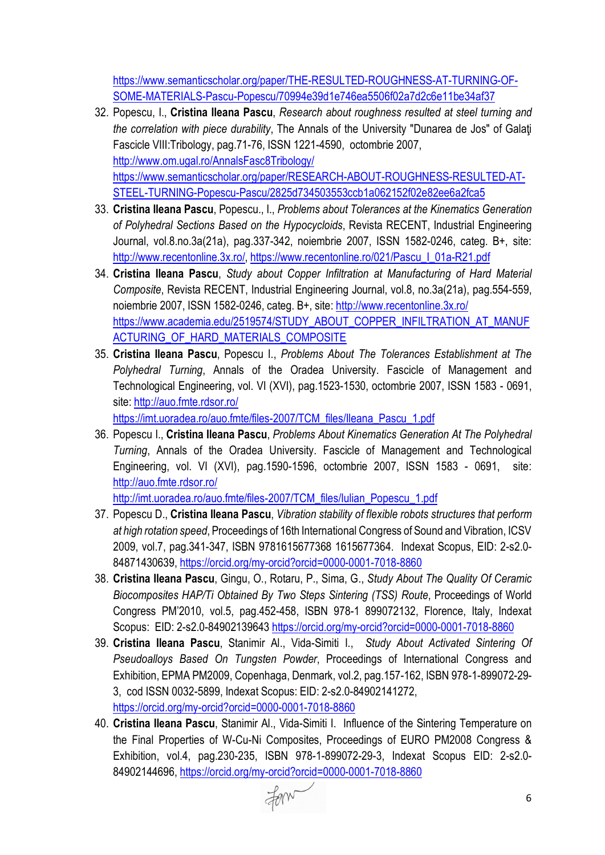[https://www.semanticscholar.org/paper/THE](https://www.semanticscholar.org/paper/THE-RESULTED-ROUGHNESS-AT-TURNING-OF-SOME-MATERIALS-Pascu-Popescu/70994e39d1e746ea5506f02a7d2c6e11be34af37)-RESULTED-ROUGHNESS-AT-TURNING-OF-SOME-MATERIALS-Pascu-[Popescu/70994e39d1e746ea5506f02a7d2c6e11be34af37](https://www.semanticscholar.org/paper/THE-RESULTED-ROUGHNESS-AT-TURNING-OF-SOME-MATERIALS-Pascu-Popescu/70994e39d1e746ea5506f02a7d2c6e11be34af37)

- 32. Popescu, I., **Cristina Ileana Pascu**, *Research about roughness resulted at steel turning and the correlation with piece durability*, The Annals of the University "Dunarea de Jos" of Galaţi Fascicle VIII:Tribology, pag.71-76, ISSN 1221-4590, octombrie 2007, <http://www.om.ugal.ro/AnnalsFasc8Tribology/> [https://www.semanticscholar.org/paper/RESEARCH](https://www.semanticscholar.org/paper/RESEARCH-ABOUT-ROUGHNESS-RESULTED-AT-STEEL-TURNING-Popescu-Pascu/2825d734503553ccb1a062152f02e82ee6a2fca5)-ABOUT-ROUGHNESS-RESULTED-AT-STEEL-TURNING-Popescu-[Pascu/2825d734503553ccb1a062152f02e82ee6a2fca5](https://www.semanticscholar.org/paper/RESEARCH-ABOUT-ROUGHNESS-RESULTED-AT-STEEL-TURNING-Popescu-Pascu/2825d734503553ccb1a062152f02e82ee6a2fca5)
- 33. **Cristina Ileana Pascu**, Popescu., I., *Problems about Tolerances at the Kinematics Generation of Polyhedral Sections Based on the Hypocycloids*, Revista RECENT, Industrial Engineering Journal, vol.8.no.3a(21a), pag.337-342, noiembrie 2007, ISSN 1582-0246, categ. B+, site: <http://www.recentonline.3x.ro/>, [https://www.recentonline.ro/021/Pascu\\_I\\_01a](https://www.recentonline.ro/021/Pascu_I_01a-R21.pdf)-R21.pdf
- 34. **Cristina Ileana Pascu**, *Study about Copper Infiltration at Manufacturing of Hard Material Composite*, Revista RECENT, Industrial Engineering Journal, vol.8, no.3a(21a), pag.554-559, noiembrie 2007, ISSN 1582-0246, categ. B+, site:<http://www.recentonline.3x.ro/> [https://www.academia.edu/2519574/STUDY\\_ABOUT\\_COPPER\\_INFILTRATION\\_AT\\_MANUF](https://www.academia.edu/2519574/STUDY_ABOUT_COPPER_INFILTRATION_AT_MANUFACTURING_OF_HARD_MATERIALS_COMPOSITE) [ACTURING\\_OF\\_HARD\\_MATERIALS\\_COMPOSITE](https://www.academia.edu/2519574/STUDY_ABOUT_COPPER_INFILTRATION_AT_MANUFACTURING_OF_HARD_MATERIALS_COMPOSITE)
- 35. **Cristina Ileana Pascu**, Popescu I., *Problems About The Tolerances Establishment at The Polyhedral Turning*, Annals of the Oradea University. Fascicle of Management and Technological Engineering, vol. VI (XVI), pag.1523-1530, octombrie 2007, ISSN 1583 - 0691, site:<http://auo.fmte.rdsor.ro/>

https://imt.uoradea.ro/auo.fmte/files-[2007/TCM\\_files/Ileana\\_Pascu\\_1.pdf](https://imt.uoradea.ro/auo.fmte/files-2007/TCM_files/Ileana_Pascu_1.pdf)

36. Popescu I., **Cristina Ileana Pascu**, *Problems About Kinematics Generation At The Polyhedral Turning*, Annals of the Oradea University. Fascicle of Management and Technological Engineering, vol. VI (XVI), pag.1590-1596, octombrie 2007, ISSN 1583 - 0691, site: <http://auo.fmte.rdsor.ro/>

http://imt.uoradea.ro/auo.fmte/files-[2007/TCM\\_files/Iulian\\_Popescu\\_1.pdf](http://imt.uoradea.ro/auo.fmte/files-2007/TCM_files/Iulian_Popescu_1.pdf)

- 37. Popescu D., **Cristina Ileana Pascu**, *Vibration stability of flexible robots structures that perform at high rotation speed*, Proceedings of 16th International Congress of Sound and Vibration, ICSV 2009, vol.7, pag.341-347, ISBN 9781615677368 1615677364. Indexat Scopus, EID: 2-s2.0- 84871430639, [https://orcid.org/my](https://orcid.org/my-orcid?orcid=0000-0001-7018-8860)-orcid?orcid=0000-0001-7018-8860
- 38. **Cristina Ileana Pascu**, Gingu, O., Rotaru, P., Sima, G., *Study About The Quality Of Ceramic Biocomposites HAP/Ti Obtained By Two Steps Sintering (TSS) Route*, Proceedings of World Congress PM'2010, vol.5, pag.452-458, ISBN 978-1 899072132, Florence, Italy, Indexat Scopus: EID: 2-s2.0-84902139643 [https://orcid.org/my](https://orcid.org/my-orcid?orcid=0000-0001-7018-8860)-orcid?orcid=0000-0001-7018-8860
- 39. **Cristina Ileana Pascu**, Stanimir Al., Vida-Simiti I., *Study About Activated Sintering Of Pseudoalloys Based On Tungsten Powder*, Proceedings of International Congress and Exhibition, EPMA PM2009, Copenhaga, Denmark, vol.2, pag.157-162, ISBN 978-1-899072-29- 3, cod ISSN 0032-5899, Indexat Scopus: EID: 2-s2.0-84902141272, [https://orcid.org/my](https://orcid.org/my-orcid?orcid=0000-0001-7018-8860)-orcid?orcid=0000-0001-7018-8860
- 40. **Cristina Ileana Pascu**, Stanimir Al., Vida-Simiti I. Influence of the Sintering Temperature on the Final Properties of W-Cu-Ni Composites, Proceedings of EURO PM2008 Congress & Exhibition, vol.4, pag.230-235, ISBN 978-1-899072-29-3, Indexat Scopus EID: 2-s2.0- 84902144696, [https://orcid.org/my](https://orcid.org/my-orcid?orcid=0000-0001-7018-8860)-orcid?orcid=0000-0001-7018-8860

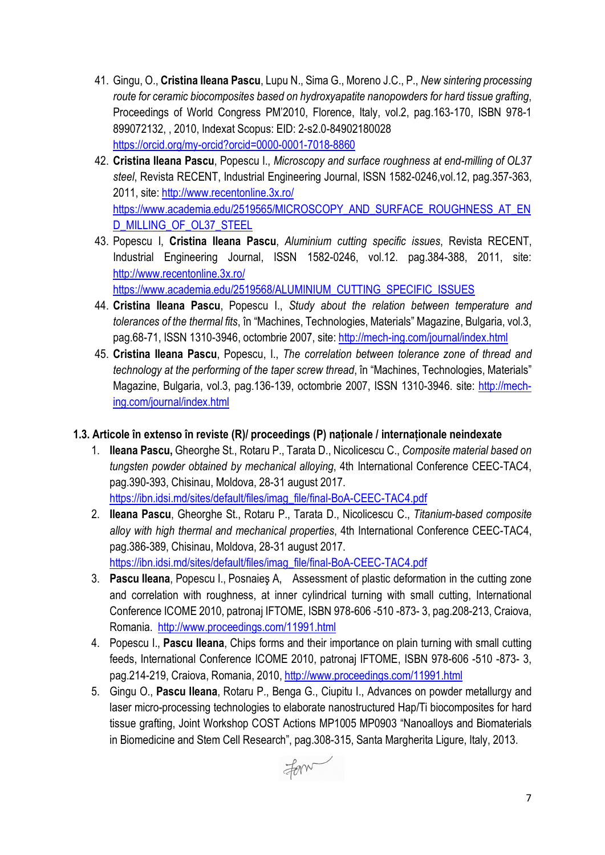- 41. Gingu, O., **Cristina Ileana Pascu**, Lupu N., Sima G., Moreno J.C., P., *New sintering processing route for ceramic biocomposites based on hydroxyapatite nanopowders for hard tissue grafting*, Proceedings of World Congress PM'2010, Florence, Italy, vol.2, pag.163-170, ISBN 978-1 899072132, , 2010, Indexat Scopus: EID: 2-s2.0-84902180028 [https://orcid.org/my](https://orcid.org/my-orcid?orcid=0000-0001-7018-8860)-orcid?orcid=0000-0001-7018-8860
- 42. **Cristina Ileana Pascu**, Popescu I., *Microscopy and surface roughness at end-milling of OL37 steel*, Revista RECENT, Industrial Engineering Journal, ISSN 1582-0246,vol.12, pag.357-363, 2011, site:<http://www.recentonline.3x.ro/> [https://www.academia.edu/2519565/MICROSCOPY\\_AND\\_SURFACE\\_ROUGHNESS\\_AT\\_EN](https://www.academia.edu/2519565/MICROSCOPY_AND_SURFACE_ROUGHNESS_AT_END_MILLING_OF_OL37_STEEL) [D\\_MILLING\\_OF\\_OL37\\_STEEL](https://www.academia.edu/2519565/MICROSCOPY_AND_SURFACE_ROUGHNESS_AT_END_MILLING_OF_OL37_STEEL)
- 43. Popescu I, **Cristina Ileana Pascu**, *Aluminium cutting specific issues*, Revista RECENT, Industrial Engineering Journal, ISSN 1582-0246, vol.12. pag.384-388, 2011, site: <http://www.recentonline.3x.ro/>

[https://www.academia.edu/2519568/ALUMINIUM\\_CUTTING\\_SPECIFIC\\_ISSUES](https://www.academia.edu/2519568/ALUMINIUM_CUTTING_SPECIFIC_ISSUES)

- 44. **Cristina Ileana Pascu**, Popescu I., *Study about the relation between temperature and tolerances of the thermal fits*, în "Machines, Technologies, Materials" Magazine, Bulgaria, vol.3, pag.68-71, ISSN 1310-3946, octombrie 2007, site: http://mech-[ing.com/journal/index.html](http://mech-ing.com/journal/index.html)
- 45. **Cristina Ileana Pascu**, Popescu, I., *The correlation between tolerance zone of thread and technology at the performing of the taper screw thread*, în "Machines, Technologies, Materials" Magazine, Bulgaria, vol.3, pag.136-139, octombrie 2007, ISSN 1310-3946. site: [http://mech](http://mech-ing.com/journal/index.html)[ing.com/journal/index.html](http://mech-ing.com/journal/index.html)

## **1.3. Articole în extenso în reviste (R)/ proceedings (P) naționale / internaționale neindexate**

- 1. **Ileana Pascu,** Gheorghe St., Rotaru P., Tarata D., Nicolicescu C., *Composite material based on tungsten powder obtained by mechanical alloying*, 4th International Conference CEEC-TAC4, pag.390-393, Chisinau, Moldova, 28-31 august 2017. [https://ibn.idsi.md/sites/default/files/imag\\_file/final](https://ibn.idsi.md/sites/default/files/imag_file/final-BoA-CEEC-TAC4.pdf)-BoA-CEEC-TAC4.pdf
- 2. **Ileana Pascu**, Gheorghe St., Rotaru P., Tarata D., Nicolicescu C., *Titanium-based composite alloy with high thermal and mechanical properties*, 4th International Conference CEEC-TAC4, pag.386-389, Chisinau, Moldova, 28-31 august 2017. [https://ibn.idsi.md/sites/default/files/imag\\_file/final](https://ibn.idsi.md/sites/default/files/imag_file/final-BoA-CEEC-TAC4.pdf)-BoA-CEEC-TAC4.pdf
- 3. **Pascu Ileana**, Popescu I., Posnaieş A, Assessment of plastic deformation in the cutting zone and correlation with roughness, at inner cylindrical turning with small cutting, International Conference ICOME 2010, patronaj IFTOME, ISBN 978-606 -510 -873- 3, pag.208-213, Craiova, Romania. <http://www.proceedings.com/11991.html>
- 4. Popescu I., **Pascu Ileana**, Chips forms and their importance on plain turning with small cutting feeds, International Conference ICOME 2010, patronaj IFTOME, ISBN 978-606 -510 -873- 3, pag.214-219, Craiova, Romania, 2010,<http://www.proceedings.com/11991.html>
- 5. Gingu O., **Pascu Ileana**, Rotaru P., Benga G., Ciupitu I., Advances on powder metallurgy and laser micro-processing technologies to elaborate nanostructured Hap/Ti biocomposites for hard tissue grafting, Joint Workshop COST Actions MP1005 MP0903 "Nanoalloys and Biomaterials in Biomedicine and Stem Cell Research", pag.308-315, Santa Margherita Ligure, Italy, 2013.

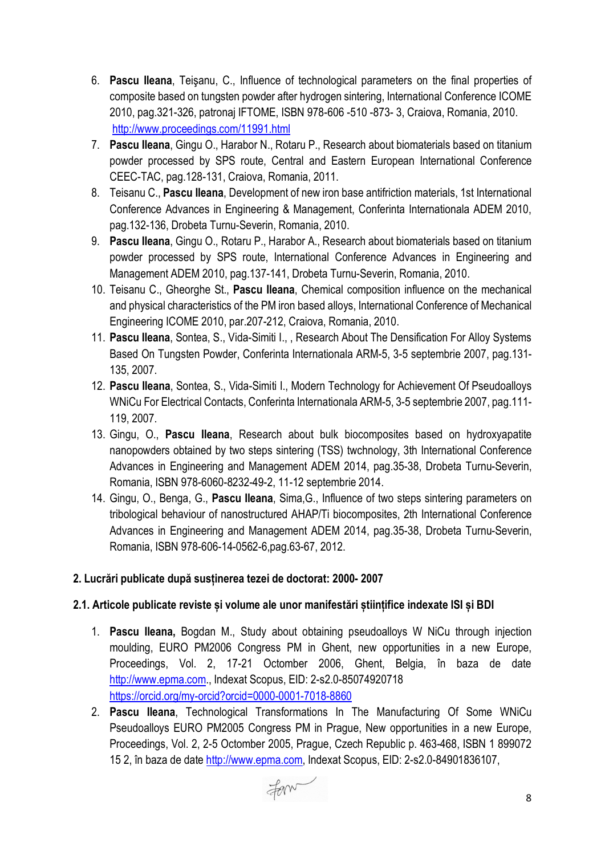- 6. **Pascu Ileana**, Teişanu, C., Influence of technological parameters on the final properties of composite based on tungsten powder after hydrogen sintering, International Conference ICOME 2010, pag.321-326, patronaj IFTOME, ISBN 978-606 -510 -873- 3, Craiova, Romania, 2010. <http://www.proceedings.com/11991.html>
- 7. **Pascu Ileana**, Gingu O., Harabor N., Rotaru P., Research about biomaterials based on titanium powder processed by SPS route, Central and Eastern European International Conference CEEC-TAC, pag.128-131, Craiova, Romania, 2011.
- 8. Teisanu C., **Pascu Ileana**, Development of new iron base antifriction materials, 1st International Conference Advances in Engineering & Management, Conferinta Internationala ADEM 2010, pag.132-136, Drobeta Turnu-Severin, Romania, 2010.
- 9. **Pascu Ileana**, Gingu O., Rotaru P., Harabor A., Research about biomaterials based on titanium powder processed by SPS route, International Conference Advances in Engineering and Management ADEM 2010, pag.137-141, Drobeta Turnu-Severin, Romania, 2010.
- 10. Teisanu C., Gheorghe St., **Pascu Ileana**, Chemical composition influence on the mechanical and physical characteristics of the PM iron based alloys, International Conference of Mechanical Engineering ICOME 2010, par.207-212, Craiova, Romania, 2010.
- 11. **Pascu Ileana**, Sontea, S., Vida-Simiti I., , Research About The Densification For Alloy Systems Based On Tungsten Powder, Conferinta Internationala ARM-5, 3-5 septembrie 2007, pag.131- 135, 2007.
- 12. **Pascu Ileana**, Sontea, S., Vida-Simiti I., Modern Technology for Achievement Of Pseudoalloys WNiCu For Electrical Contacts, Conferinta Internationala ARM-5, 3-5 septembrie 2007, pag.111- 119, 2007.
- 13. Gingu, O., **Pascu Ileana**, Research about bulk biocomposites based on hydroxyapatite nanopowders obtained by two steps sintering (TSS) twchnology, 3th International Conference Advances in Engineering and Management ADEM 2014, pag.35-38, Drobeta Turnu-Severin, Romania, ISBN 978-6060-8232-49-2, 11-12 septembrie 2014.
- 14. Gingu, O., Benga, G., **Pascu Ileana**, Sima,G., Influence of two steps sintering parameters on tribological behaviour of nanostructured AHAP/Ti biocomposites, 2th International Conference Advances in Engineering and Management ADEM 2014, pag.35-38, Drobeta Turnu-Severin, Romania, ISBN 978-606-14-0562-6,pag.63-67, 2012.

## **2. Lucrări publicate după susținerea tezei de doctorat: 2000- 2007**

## **2.1. Articole publicate reviste și volume ale unor manifestări științifice indexate ISI și BDI**

- 1. **Pascu Ileana,** Bogdan M., Study about obtaining pseudoalloys W NiCu through injection moulding, EURO PM2006 Congress PM in Ghent, new opportunities in a new Europe, Proceedings, Vol. 2, 17-21 Octomber 2006, Ghent, Belgia, în baza de date [http://www.epma.com.](http://www.epma.com/), Indexat Scopus, EID: 2-s2.0-85074920718 [https://orcid.org/my](https://orcid.org/my-orcid?orcid=0000-0001-7018-8860)-orcid?orcid=0000-0001-7018-8860
- 2. **Pascu Ileana**, Technological Transformations In The Manufacturing Of Some WNiCu Pseudoalloys EURO PM2005 Congress PM in Prague, New opportunities in a new Europe, Proceedings, Vol. 2, 2-5 Octomber 2005, Prague, Czech Republic p. 463-468, ISBN 1 899072 15 2, în baza de date [http://www.epma.com](http://www.epma.com/), Indexat Scopus, EID: 2-s2.0-84901836107,

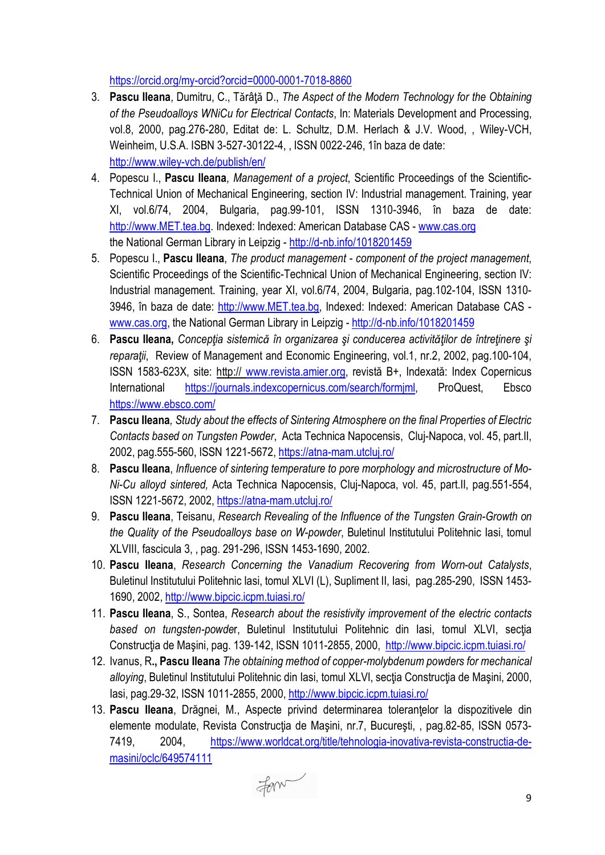[https://orcid.org/my](https://orcid.org/my-orcid?orcid=0000-0001-7018-8860)-orcid?orcid=0000-0001-7018-8860

- 3. **Pascu Ileana**, Dumitru, C., Tǎrâţǎ D., *The Aspect of the Modern Technology for the Obtaining of the Pseudoalloys WNiCu for Electrical Contacts*, In: Materials Development and Processing, vol.8, 2000, pag.276-280, Editat de: L. Schultz, D.M. Herlach & J.V. Wood, , Wiley-VCH, Weinheim, U.S.A. ISBN 3-527-30122-4, , ISSN 0022-246, 1în baza de date: http://www.wiley-[vch.de/publish/en/](http://www.wiley-vch.de/publish/en/)
- 4. Popescu I., **Pascu Ileana**, *Management of a project*, Scientific Proceedings of the Scientific-Technical Union of Mechanical Engineering, section IV: Industrial management. Training, year XI, vol.6/74, 2004, Bulgaria, pag.99-101, ISSN 1310-3946, în baza de date: [http://www.MET.tea.bg](http://www.met.tea.bg/). Indexed: Indexed: American Database CAS - [www.cas.org](http://www.cas.org/) the National German Library in Leipzig - http://d-[nb.info/1018201459](http://d-nb.info/1018201459)
- 5. Popescu I., **Pascu Ileana**, *The product management - component of the project management*, Scientific Proceedings of the Scientific-Technical Union of Mechanical Engineering, section IV: Industrial management. Training, year XI, vol.6/74, 2004, Bulgaria, pag.102-104, ISSN 1310- 3946, în baza de date: [http://www.MET.tea.bg,](http://www.met.tea.bg/) Indexed: Indexed: American Database CAS [www.cas.org,](http://www.cas.org/) the National German Library in Leipzig - http://d-[nb.info/1018201459](http://d-nb.info/1018201459)
- 6. **Pascu Ileana,** *Concepţia sistemicǎ în organizarea şi conducerea activitǎţilor de întreţinere şi reparaţii*, Review of Management and Economic Engineering, vol.1, nr.2, 2002, pag.100-104, ISSN 1583-623X, site: http:// [www.revista.amier.org](http://www.revista.amier.org/), revistă B+, Indexată: Index Copernicus International [https://journals.indexcopernicus.com/search/formjml,](https://journals.indexcopernicus.com/search/formjml) ProQuest, Ebsco <https://www.ebsco.com/>
- 7. **Pascu Ileana***, Study about the effects of Sintering Atmosphere on the final Properties of Electric Contacts based on Tungsten Powder*, Acta Technica Napocensis, Cluj-Napoca, vol. 45, part.II, 2002, pag.555-560, ISSN 1221-5672, https://atna-[mam.utcluj.ro/](https://atna-mam.utcluj.ro/)
- 8. **Pascu Ileana**, *Influence of sintering temperature to pore morphology and microstructure of Mo-Ni-Cu alloyd sintered,* Acta Technica Napocensis, Cluj-Napoca, vol. 45, part.II, pag.551-554, ISSN 1221-5672, 2002, https://atna-[mam.utcluj.ro/](https://atna-mam.utcluj.ro/)
- 9. **Pascu Ileana**, Teisanu, *Research Revealing of the Influence of the Tungsten Grain-Growth on the Quality of the Pseudoalloys base on W-powder*, Buletinul Institutului Politehnic Iasi, tomul XLVIII, fascicula 3, , pag. 291-296, ISSN 1453-1690, 2002.
- 10. **Pascu Ileana**, *Research Concerning the Vanadium Recovering from Worn-out Catalysts*, Buletinul Institutului Politehnic Iasi, tomul XLVI (L), Supliment II, Iasi, pag.285-290, ISSN 1453- 1690, 2002, <http://www.bipcic.icpm.tuiasi.ro/>
- 11. **Pascu Ileana**, S., Sontea, *Research about the resistivity improvement of the electric contacts*  based on tungsten-powder, Buletinul Institutului Politehnic din Iasi, tomul XLVI, sectia Construcția de Mașini, pag. 139-142, ISSN 1011-2855, 2000, <http://www.bipcic.icpm.tuiasi.ro/>
- 12. Ivanus, R**., Pascu Ileana** *The obtaining method of copper-molybdenum powders for mechanical*  alloying, Buletinul Institutului Politehnic din Iasi, tomul XLVI, secția Construcția de Mașini, 2000, Iasi, pag.29-32, ISSN 1011-2855, 2000, <http://www.bipcic.icpm.tuiasi.ro/>
- 13. **Pascu Ileana**, Drăgnei, M., Aspecte privind determinarea toleranţelor la dispozitivele din elemente modulate, Revista Constructia de Masini, nr.7, București, , pag.82-85, ISSN 0573-7419, 2004, [https://www.worldcat.org/title/tehnologia](https://www.worldcat.org/title/tehnologia-inovativa-revista-constructia-de-masini/oclc/649574111)-inovativa-revista-constructia-de[masini/oclc/649574111](https://www.worldcat.org/title/tehnologia-inovativa-revista-constructia-de-masini/oclc/649574111)

form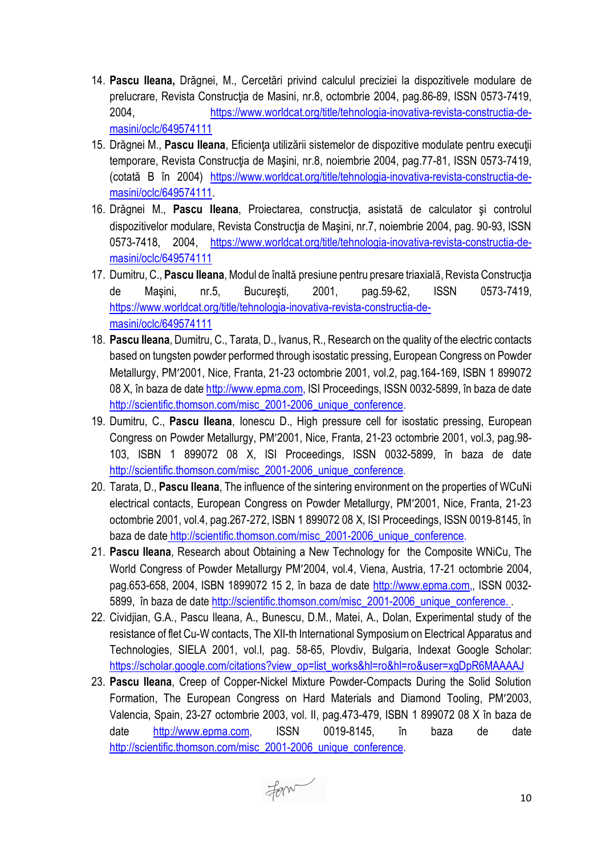- 14. **Pascu Ileana,** Drăgnei, M., Cercetări privind calculul preciziei la dispozitivele modulare de prelucrare, Revista Construcția de Masini, nr.8, octombrie 2004, pag.86-89, ISSN 0573-7419, 2004, [https://www.worldcat.org/title/tehnologia](https://www.worldcat.org/title/tehnologia-inovativa-revista-constructia-de-masini/oclc/649574111)-inovativa-revista-constructia-de[masini/oclc/649574111](https://www.worldcat.org/title/tehnologia-inovativa-revista-constructia-de-masini/oclc/649574111)
- 15. Drăgnei M., **Pascu Ileana**, Eficienţa utilizării sistemelor de dispozitive modulate pentru execuţii temporare, Revista Construcția de Mașini, nr.8, noiembrie 2004, pag.77-81, ISSN 0573-7419, (cotată B în 2004) [https://www.worldcat.org/title/tehnologia](https://www.worldcat.org/title/tehnologia-inovativa-revista-constructia-de-masini/oclc/649574111)-inovativa-revista-constructia-de[masini/oclc/649574111](https://www.worldcat.org/title/tehnologia-inovativa-revista-constructia-de-masini/oclc/649574111).
- 16. Drăgnei M., **Pascu Ileana**, Proiectarea, construcţia, asistatǎ de calculator şi controlul dispozitivelor modulare, Revista Construcția de Mașini, nr.7, noiembrie 2004, pag. 90-93, ISSN 0573-7418, 2004, [https://www.worldcat.org/title/tehnologia](https://www.worldcat.org/title/tehnologia-inovativa-revista-constructia-de-masini/oclc/649574111)-inovativa-revista-constructia-de[masini/oclc/649574111](https://www.worldcat.org/title/tehnologia-inovativa-revista-constructia-de-masini/oclc/649574111)
- 17. Dumitru, C., **Pascu Ileana**, Modul de înaltǎ presiune pentru presare triaxialǎ, Revista Construcţia de Maşini, nr.5, Bucureşti, 2001, pag.59-62, ISSN 0573-7419, [https://www.worldcat.org/title/tehnologia](https://www.worldcat.org/title/tehnologia-inovativa-revista-constructia-de-masini/oclc/649574111)-inovativa-revista-constructia-de[masini/oclc/649574111](https://www.worldcat.org/title/tehnologia-inovativa-revista-constructia-de-masini/oclc/649574111)
- 18. **Pascu Ileana**, Dumitru, C., Tarata, D., Ivanus, R., Research on the quality of the electric contacts based on tungsten powder performed through isostatic pressing, European Congress on Powder Metallurgy, PM′2001, Nice, Franta, 21-23 octombrie 2001, vol.2, pag.164-169, ISBN 1 899072 08 X, în baza de date [http://www.epma.com](http://www.epma.com/), ISI Proceedings, ISSN 0032-5899, în baza de date http://scientific.thomson.com/misc\_2001-2006\_unique\_conference.
- 19. Dumitru, C., **Pascu Ileana**, Ionescu D., High pressure cell for isostatic pressing, European Congress on Powder Metallurgy, PM′2001, Nice, Franta, 21-23 octombrie 2001, vol.3, pag.98- 103, ISBN 1 899072 08 X, ISI Proceedings, ISSN 0032-5899, în baza de date http://scientific.thomson.com/misc\_2001-2006\_unique\_conference.
- 20. Tarata, D., **Pascu Ileana**, The influence of the sintering environment on the properties of WCuNi electrical contacts, European Congress on Powder Metallurgy, PM′2001, Nice, Franta, 21-23 octombrie 2001, vol.4, pag.267-272, ISBN 1 899072 08 X, ISI Proceedings, ISSN 0019-8145, în baza de date http://scientific.thomson.com/misc\_2001-2006\_unique\_conference.
- 21. **Pascu Ileana**, Research about Obtaining a New Technology for the Composite WNiCu, The World Congress of Powder Metallurgy PM′2004, vol.4, Viena, Austria, 17-21 octombrie 2004, pag.653-658, 2004, ISBN 1899072 15 2, în baza de date [http://www.epma.com](http://www.epma.com/),, ISSN 0032- 5899, în baza de date http://scientific.thomson.com/misc\_2001-2006\_unique\_conference.
- 22. Cividjian, G.A., Pascu Ileana, A., Bunescu, D.M., Matei, A., Dolan, Experimental study of the resistance of flet Cu-W contacts, The XII-th International Symposium on Electrical Apparatus and Technologies, SIELA 2001, vol.I, pag. 58-65, Plovdiv, Bulgaria, Indexat Google Scholar: [https://scholar.google.com/citations?view\\_op=list\\_works&hl=ro&hl=ro&user=xgDpR6MAAAAJ](https://scholar.google.com/citations?view_op=list_works&hl=ro&hl=ro&user=xgDpR6MAAAAJ)
- 23. **Pascu Ileana**, Creep of Copper-Nickel Mixture Powder-Compacts During the Solid Solution Formation, The European Congress on Hard Materials and Diamond Tooling, PM′2003, Valencia, Spain, 23-27 octombrie 2003, vol. II, pag.473-479, ISBN 1 899072 08 X în baza de date [http://www.epma.com](http://www.epma.com/), ISSN 0019-8145, în baza de date [http://scientific.thomson.com/misc\\_2001](http://scientific.thomson.com/misc_2001-2006_unique_conference)-2006\_unique\_conference.

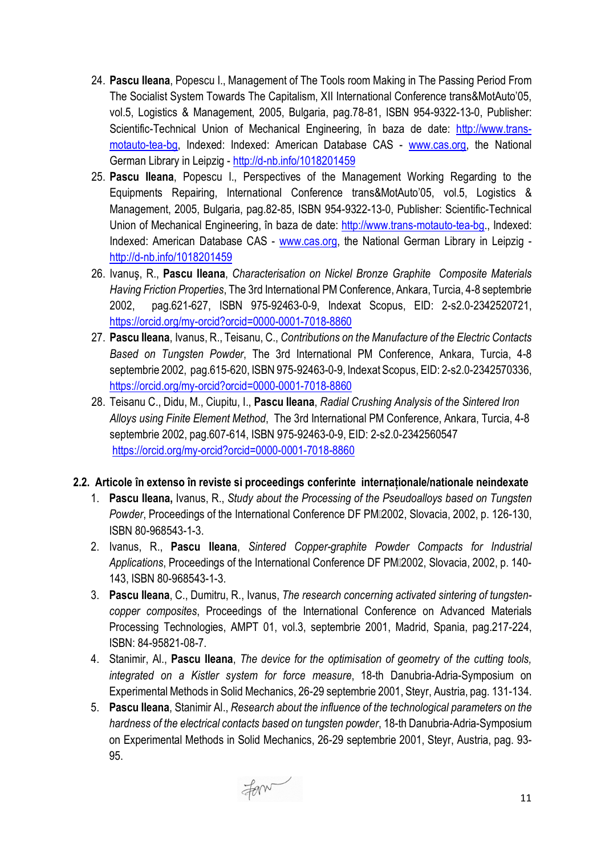- 24. **Pascu Ileana**, Popescu I., Management of The Tools room Making in The Passing Period From The Socialist System Towards The Capitalism, XII International Conference trans&MotAuto'05, vol.5, Logistics & Management, 2005, Bulgaria, pag.78-81, ISBN 954-9322-13-0, Publisher: Scientific-Technical Union of Mechanical Engineering, în baza de date: [http://www.trans](http://www.trans-motauto-tea-bg/)[motauto](http://www.trans-motauto-tea-bg/)-tea-bg, Indexed: Indexed: American Database CAS - [www.cas.org,](http://www.cas.org/) the National German Library in Leipzig - http://d-[nb.info/1018201459](http://d-nb.info/1018201459)
- 25. **Pascu Ileana**, Popescu I., Perspectives of the Management Working Regarding to the Equipments Repairing, International Conference trans&MotAuto'05, vol.5, Logistics & Management, 2005, Bulgaria, pag.82-85, ISBN 954-9322-13-0, Publisher: Scientific-Technical Union of Mechanical Engineering, în baza de date: [http://www.trans](http://www.trans-motauto-tea-bg/)-motauto-tea-bg., Indexed: Indexed: American Database CAS - [www.cas.org,](http://www.cas.org/) the National German Library in Leipzig http://d-[nb.info/1018201459](http://d-nb.info/1018201459)
- 26. Ivanuş, R., **Pascu Ileana**, *Characterisation on Nickel Bronze Graphite Composite Materials Having Friction Properties*, The 3rd International PM Conference, Ankara, Turcia, 4-8 septembrie 2002, pag.621-627, ISBN 975-92463-0-9, Indexat Scopus, EID: 2-s2.0-2342520721, [https://orcid.org/my](https://orcid.org/my-orcid?orcid=0000-0001-7018-8860)-orcid?orcid=0000-0001-7018-8860
- 27. **Pascu Ileana**, Ivanus, R., Teisanu, C., *Contributions on the Manufacture of the Electric Contacts Based on Tungsten Powder*, The 3rd International PM Conference, Ankara, Turcia, 4-8 septembrie 2002, pag.615-620, ISBN 975-92463-0-9, Indexat Scopus, EID: 2-s2.0-2342570336, [https://orcid.org/my](https://orcid.org/my-orcid?orcid=0000-0001-7018-8860)-orcid?orcid=0000-0001-7018-8860
- 28. Teisanu C., Didu, M., Ciupitu, I., **Pascu Ileana**, *Radial Crushing Analysis of the Sintered Iron Alloys using Finite Element Method*, The 3rd International PM Conference, Ankara, Turcia, 4-8 septembrie 2002, pag.607-614, ISBN 975-92463-0-9, EID: 2-s2.0-2342560547 [https://orcid.org/my](https://orcid.org/my-orcid?orcid=0000-0001-7018-8860)-orcid?orcid=0000-0001-7018-8860
- **2.2. Articole în extenso în reviste si proceedings conferinte internaționale/nationale neindexate**
	- 1. **Pascu Ileana,** Ivanus, R., *Study about the Processing of the Pseudoalloys based on Tungsten Powder*, Proceedings of the International Conference DF PM12002, Slovacia, 2002, p. 126-130, ISBN 80-968543-1-3.
	- 2. Ivanus, R., **Pascu Ileana**, *Sintered Copper-graphite Powder Compacts for Industrial Applications*, Proceedings of the International Conference DF PM2002, Slovacia, 2002, p. 140- 143, ISBN 80-968543-1-3.
	- 3. **Pascu Ileana**, C., Dumitru, R., Ivanus, *The research concerning activated sintering of tungstencopper composites*, Proceedings of the International Conference on Advanced Materials Processing Technologies, AMPT 01, vol.3, septembrie 2001, Madrid, Spania, pag.217-224, ISBN: 84-95821-08-7.
	- 4. Stanimir, Al., **Pascu Ileana**, *The device for the optimisation of geometry of the cutting tools, integrated on a Kistler system for force measure*, 18-th Danubria-Adria-Symposium on Experimental Methods in Solid Mechanics, 26-29 septembrie 2001, Steyr, Austria, pag. 131-134.
	- 5. **Pascu Ileana**, Stanimir Al., *Research about the influence of the technological parameters on the hardness of the electrical contacts based on tungsten powder*, 18-th Danubria-Adria-Symposium on Experimental Methods in Solid Mechanics, 26-29 septembrie 2001, Steyr, Austria, pag. 93- 95.

Form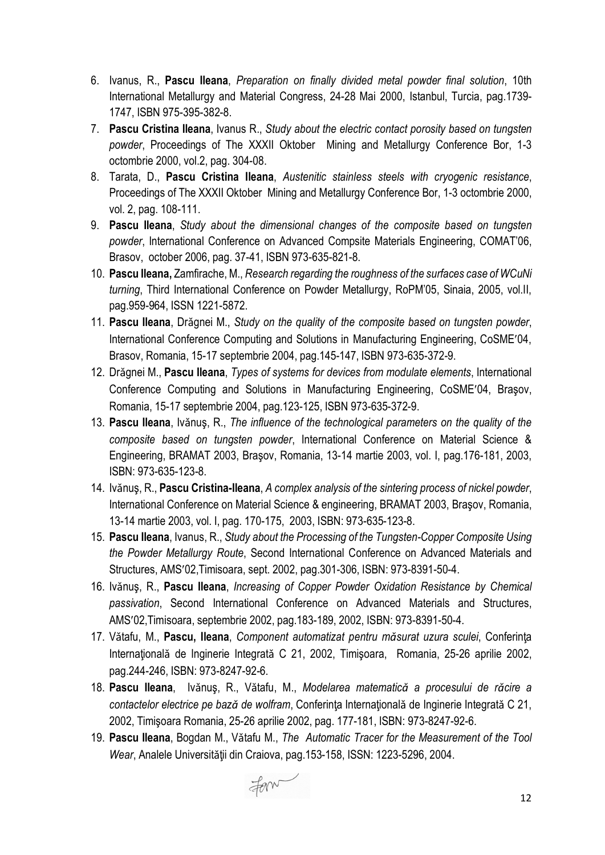- 6. Ivanus, R., **Pascu Ileana**, *Preparation on finally divided metal powder final solution*, 10th International Metallurgy and Material Congress, 24-28 Mai 2000, Istanbul, Turcia, pag.1739- 1747, ISBN 975-395-382-8.
- 7. **Pascu Cristina Ileana**, Ivanus R., *Study about the electric contact porosity based on tungsten powder*, Proceedings of The XXXII Oktober Mining and Metallurgy Conference Bor, 1-3 octombrie 2000, vol.2, pag. 304-08.
- 8. Tarata, D., **Pascu Cristina Ileana**, *Austenitic stainless steels with cryogenic resistance*, Proceedings of The XXXII Oktober Mining and Metallurgy Conference Bor, 1-3 octombrie 2000, vol. 2, pag. 108-111.
- 9. **Pascu Ileana**, *Study about the dimensional changes of the composite based on tungsten powder*, International Conference on Advanced Compsite Materials Engineering, COMAT'06, Brasov, october 2006, pag. 37-41, ISBN 973-635-821-8.
- 10. **Pascu Ileana,** Zamfirache, M., *Research regarding the roughness of the surfaces case of WCuNi turning*, Third International Conference on Powder Metallurgy, RoPM'05, Sinaia, 2005, vol.II, pag.959-964, ISSN 1221-5872.
- 11. **Pascu Ileana**, Drǎgnei M., *Study on the quality of the composite based on tungsten powder*, International Conference Computing and Solutions in Manufacturing Engineering, CoSME′04, Brasov, Romania, 15-17 septembrie 2004, pag.145-147, ISBN 973-635-372-9.
- 12. Drǎgnei M., **Pascu Ileana**, *Types of systems for devices from modulate elements*, International Conference Computing and Solutions in Manufacturing Engineering, CoSME′04, Braşov, Romania, 15-17 septembrie 2004, pag.123-125, ISBN 973-635-372-9.
- 13. **Pascu Ileana**, Ivǎnuş, R., *The influence of the technological parameters on the quality of the composite based on tungsten powder*, International Conference on Material Science & Engineering, BRAMAT 2003, Braşov, Romania, 13-14 martie 2003, vol. I, pag.176-181, 2003, ISBN: 973-635-123-8.
- 14. Ivǎnuş, R., **Pascu Cristina-Ileana**, *A complex analysis of the sintering process of nickel powder*, International Conference on Material Science & engineering, BRAMAT 2003, Braşov, Romania, 13-14 martie 2003, vol. I, pag. 170-175, 2003, ISBN: 973-635-123-8.
- 15. **Pascu Ileana**, Ivanus, R., *Study about the Processing of the Tungsten-Copper Composite Using the Powder Metallurgy Route*, Second International Conference on Advanced Materials and Structures, AMS′02,Timisoara, sept. 2002, pag.301-306, ISBN: 973-8391-50-4.
- 16. Ivǎnuş, R., **Pascu Ileana**, *Increasing of Copper Powder Oxidation Resistance by Chemical passivation*, Second International Conference on Advanced Materials and Structures, AMS′02,Timisoara, septembrie 2002, pag.183-189, 2002, ISBN: 973-8391-50-4.
- 17. Vǎtafu, M., **Pascu, Ileana**, *Component automatizat pentru mǎsurat uzura sculei*, Conferinţa Internațională de Inginerie Integrată C 21, 2002, Timișoara, Romania, 25-26 aprilie 2002, pag.244-246, ISBN: 973-8247-92-6.
- 18. **Pascu Ileana**, Ivǎnuş, R., Vǎtafu, M., *Modelarea matematicǎ a procesului de rǎcire a contactelor electrice pe bazǎ de wolfram*, Conferinţa Internaţionalǎ de Inginerie Integratǎ C 21, 2002, Timişoara Romania, 25-26 aprilie 2002, pag. 177-181, ISBN: 973-8247-92-6.
- 19. **Pascu Ileana**, Bogdan M., Vǎtafu M., *The Automatic Tracer for the Measurement of the Tool Wear*, Analele Universitǎţii din Craiova, pag.153-158, ISSN: 1223-5296, 2004.

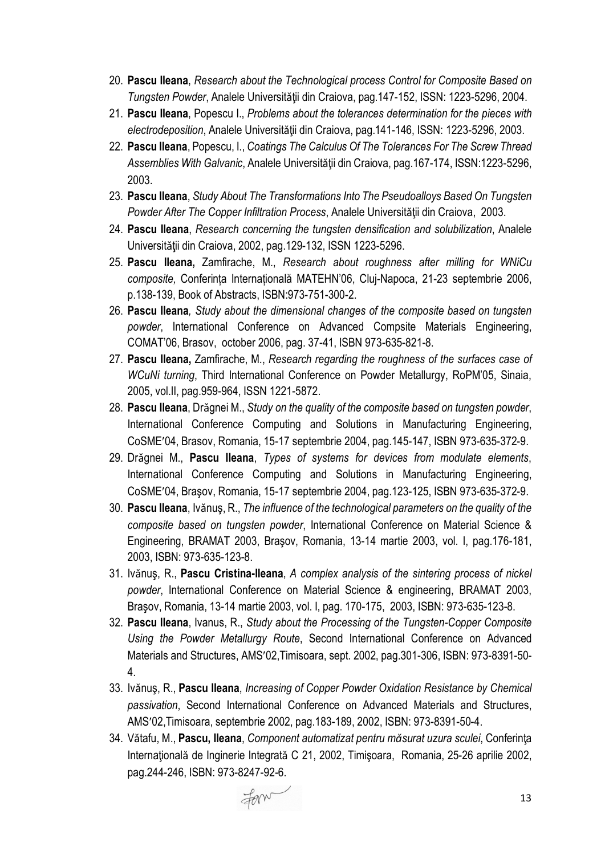- 20. **Pascu Ileana**, *Research about the Technological process Control for Composite Based on Tungsten Powder*, Analele Universitǎţii din Craiova, pag.147-152, ISSN: 1223-5296, 2004.
- 21. **Pascu Ileana**, Popescu I., *Problems about the tolerances determination for the pieces with electrodeposition*, Analele Universitǎţii din Craiova, pag.141-146, ISSN: 1223-5296, 2003.
- 22. **Pascu Ileana**, Popescu, I., *Coatings The Calculus Of The Tolerances For The Screw Thread Assemblies With Galvanic*, Analele Universitǎţii din Craiova, pag.167-174, ISSN:1223-5296, 2003.
- 23. **Pascu Ileana**, *Study About The Transformations Into The Pseudoalloys Based On Tungsten Powder After The Copper Infiltration Process*, Analele Universitǎţii din Craiova, 2003.
- 24. **Pascu Ileana**, *Research concerning the tungsten densification and solubilization*, Analele Universitǎţii din Craiova, 2002, pag.129-132, ISSN 1223-5296.
- 25. **Pascu Ileana,** Zamfirache, M., *Research about roughness after milling for WNiCu composite,* Conferința Internațională MATEHN'06, Cluj-Napoca, 21-23 septembrie 2006, p.138-139, Book of Abstracts, ISBN:973-751-300-2.
- 26. **Pascu Ileana***, Study about the dimensional changes of the composite based on tungsten powder*, International Conference on Advanced Compsite Materials Engineering, COMAT'06, Brasov, october 2006, pag. 37-41, ISBN 973-635-821-8.
- 27. **Pascu Ileana,** Zamfirache, M., *Research regarding the roughness of the surfaces case of WCuNi turning*, Third International Conference on Powder Metallurgy, RoPM'05, Sinaia, 2005, vol.II, pag.959-964, ISSN 1221-5872.
- 28. **Pascu Ileana**, Drǎgnei M., *Study on the quality of the composite based on tungsten powder*, International Conference Computing and Solutions in Manufacturing Engineering, CoSME′04, Brasov, Romania, 15-17 septembrie 2004, pag.145-147, ISBN 973-635-372-9.
- 29. Drǎgnei M., **Pascu Ileana**, *Types of systems for devices from modulate elements*, International Conference Computing and Solutions in Manufacturing Engineering, CoSME′04, Braşov, Romania, 15-17 septembrie 2004, pag.123-125, ISBN 973-635-372-9.
- 30. **Pascu Ileana**, Ivǎnuş, R., *The influence of the technological parameters on the quality of the composite based on tungsten powder*, International Conference on Material Science & Engineering, BRAMAT 2003, Braşov, Romania, 13-14 martie 2003, vol. I, pag.176-181, 2003, ISBN: 973-635-123-8.
- 31. Ivǎnuş, R., **Pascu Cristina-Ileana**, *A complex analysis of the sintering process of nickel powder*, International Conference on Material Science & engineering, BRAMAT 2003, Braşov, Romania, 13-14 martie 2003, vol. I, pag. 170-175, 2003, ISBN: 973-635-123-8.
- 32. **Pascu Ileana**, Ivanus, R., *Study about the Processing of the Tungsten-Copper Composite Using the Powder Metallurgy Route*, Second International Conference on Advanced Materials and Structures, AMS′02,Timisoara, sept. 2002, pag.301-306, ISBN: 973-8391-50- 4.
- 33. Ivǎnuş, R., **Pascu Ileana**, *Increasing of Copper Powder Oxidation Resistance by Chemical passivation*, Second International Conference on Advanced Materials and Structures, AMS′02,Timisoara, septembrie 2002, pag.183-189, 2002, ISBN: 973-8391-50-4.
- 34. Vǎtafu, M., **Pascu, Ileana**, *Component automatizat pentru mǎsurat uzura sculei*, Conferinţa Internațională de Inginerie Integrată C 21, 2002, Timișoara, Romania, 25-26 aprilie 2002, pag.244-246, ISBN: 973-8247-92-6.

Form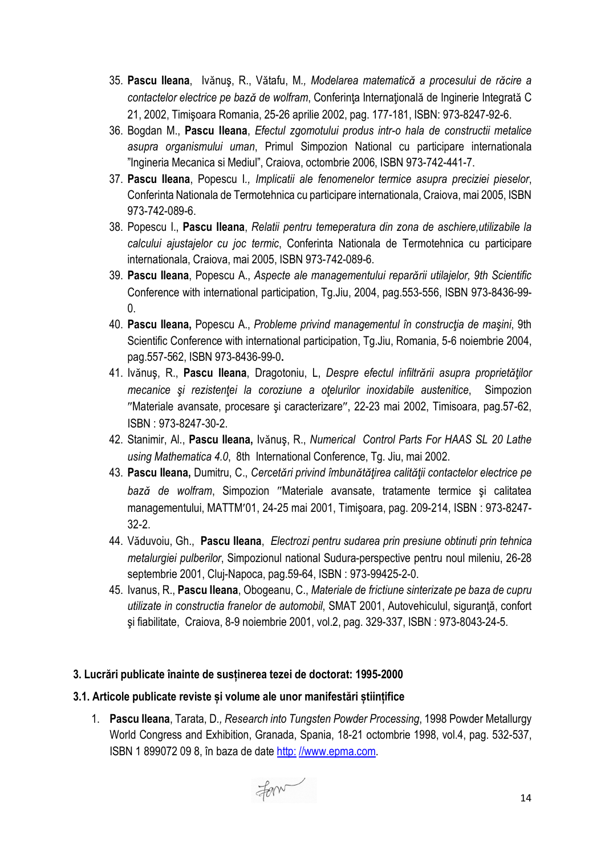- 35. **Pascu Ileana**, Ivǎnuş, R., Vǎtafu, M*., Modelarea matematicǎ a procesului de rǎcire a contactelor electrice pe bazǎ de wolfram*, Conferinţa Internaţionalǎ de Inginerie Integratǎ C 21, 2002, Timişoara Romania, 25-26 aprilie 2002, pag. 177-181, ISBN: 973-8247-92-6.
- 36. Bogdan M., **Pascu Ileana**, *Efectul zgomotului produs intr-o hala de constructii metalice asupra organismului uman*, Primul Simpozion National cu participare internationala "Ingineria Mecanica si Mediul", Craiova, octombrie 2006, ISBN 973-742-441-7.
- 37. **Pascu Ileana**, Popescu I*., Implicatii ale fenomenelor termice asupra preciziei pieselor*, Conferinta Nationala de Termotehnica cu participare internationala, Craiova, mai 2005, ISBN 973-742-089-6.
- 38. Popescu I., **Pascu Ileana**, *Relatii pentru temeperatura din zona de aschiere,utilizabile la calcului ajustajelor cu joc termic*, Conferinta Nationala de Termotehnica cu participare internationala, Craiova, mai 2005, ISBN 973-742-089-6.
- 39. **Pascu Ileana**, Popescu A., *Aspecte ale managementului reparǎrii utilajelor, 9th Scientific*  Conference with international participation, Tg.Jiu, 2004, pag.553-556, ISBN 973-8436-99-  $\overline{0}$ .
- 40. **Pascu Ileana,** Popescu A., *Probleme privind managementul în construcţia de maşini*, 9th Scientific Conference with international participation, Tg.Jiu, Romania, 5-6 noiembrie 2004, pag.557-562, ISBN 973-8436-99-0**.**
- 41. Ivǎnuş, R., **Pascu Ileana**, Dragotoniu, L, *Despre efectul infiltrǎrii asupra proprietǎţilor mecanice şi rezistenţei la coroziune a oţelurilor inoxidabile austenitice*, Simpozion ″Materiale avansate, procesare şi caracterizare″, 22-23 mai 2002, Timisoara, pag.57-62, ISBN : 973-8247-30-2.
- 42. Stanimir, Al., **Pascu Ileana,** Ivǎnuş, R., *Numerical Control Parts For HAAS SL 20 Lathe using Mathematica 4.0*, 8th International Conference, Tg. Jiu, mai 2002.
- 43. **Pascu Ileana,** Dumitru, C., *Cercetǎri privind îmbunǎtǎţirea calitǎţii contactelor electrice pe bazǎ de wolfram*, Simpozion ″Materiale avansate, tratamente termice şi calitatea managementului, MATTM′01, 24-25 mai 2001, Timişoara, pag. 209-214, ISBN : 973-8247- 32-2.
- 44. Vǎduvoiu, Gh., **Pascu Ileana**, *Electrozi pentru sudarea prin presiune obtinuti prin tehnica metalurgiei pulberilor*, Simpozionul national Sudura-perspective pentru noul mileniu, 26-28 septembrie 2001, Cluj-Napoca, pag.59-64, ISBN : 973-99425-2-0.
- 45. Ivanus, R., **Pascu Ileana**, Obogeanu, C., *Materiale de frictiune sinterizate pe baza de cupru utilizate in constructia franelor de automobil*, SMAT 2001, Autovehiculul, siguranţă, confort şi fiabilitate, Craiova, 8-9 noiembrie 2001, vol.2, pag. 329-337, ISBN : 973-8043-24-5.

## **3. Lucrări publicate înainte de susținerea tezei de doctorat: 1995-2000**

## **3.1. Articole publicate reviste și volume ale unor manifestări științifice**

1. **Pascu Ileana**, Tarata, D*., Research into Tungsten Powder Processing*, 1998 Powder Metallurgy World Congress and Exhibition, Granada, Spania, 18-21 octombrie 1998, vol.4, pag. 532-537, ISBN 1 899072 09 8, în baza de date http: //www.epma.com.

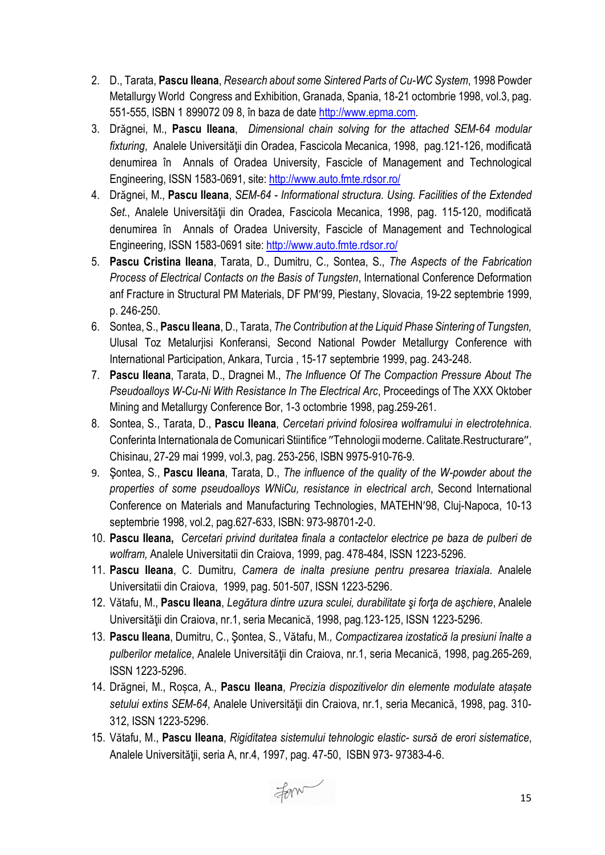- 2. D., Tarata, **Pascu Ileana**, *Research about some Sintered Parts of Cu-WC System*, 1998 Powder Metallurgy World Congress and Exhibition, Granada, Spania, 18-21 octombrie 1998, vol.3, pag. 551-555, ISBN 1 899072 09 8, în baza de date http://www.epma.com.
- 3. Drǎgnei, M., **Pascu Ileana**, *Dimensional chain solving for the attached SEM-64 modular fixturing*, Analele Universitǎţii din Oradea, Fascicola Mecanica, 1998, pag.121-126, modificată denumirea în Annals of Oradea University, Fascicle of Management and Technological Engineering, ISSN 1583-0691, site:<http://www.auto.fmte.rdsor.ro/>
- 4. Drǎgnei, M., **Pascu Ileana**, *SEM-64 - Informational structura. Using. Facilities of the Extended Set.*, Analele Universitǎţii din Oradea, Fascicola Mecanica, 1998, pag. 115-120, modificată denumirea în Annals of Oradea University, Fascicle of Management and Technological Engineering, ISSN 1583-0691 site:<http://www.auto.fmte.rdsor.ro/>
- 5. **Pascu Cristina Ileana**, Tarata, D., Dumitru, C., Sontea, S., *The Aspects of the Fabrication Process of Electrical Contacts on the Basis of Tungsten*, International Conference Deformation anf Fracture in Structural PM Materials, DF PM′99, Piestany, Slovacia, 19-22 septembrie 1999, p. 246-250.
- 6. Sontea, S., **Pascu Ileana**, D., Tarata, *The Contribution at the Liquid Phase Sintering of Tungsten,* Ulusal Toz Metalurjisi Konferansi, Second National Powder Metallurgy Conference with International Participation, Ankara, Turcia , 15-17 septembrie 1999, pag. 243-248.
- 7. **Pascu Ileana**, Tarata, D., Dragnei M., *The Influence Of The Compaction Pressure About The Pseudoalloys W-Cu-Ni With Resistance In The Electrical Arc*, Proceedings of The XXX Oktober Mining and Metallurgy Conference Bor, 1-3 octombrie 1998, pag.259-261.
- 8. Sontea, S., Tarata, D., **Pascu Ileana**, *Cercetari privind folosirea wolframului in electrotehnica*. Conferinta Internationala de Comunicari Stiintifice ″Tehnologii moderne. Calitate.Restructurare″, Chisinau, 27-29 mai 1999, vol.3, pag. 253-256, ISBN 9975-910-76-9.
- 9. Şontea, S., **Pascu Ileana**, Tarata, D., *The influence of the quality of the W-powder about the properties of some pseudoalloys WNiCu, resistance in electrical arch*, Second International Conference on Materials and Manufacturing Technologies, MATEHN′98, Cluj-Napoca, 10-13 septembrie 1998, vol.2, pag.627-633, ISBN: 973-98701-2-0.
- 10. **Pascu Ileana,** *Cercetari privind duritatea finala a contactelor electrice pe baza de pulberi de wolfram,* Analele Universitatii din Craiova, 1999, pag. 478-484, ISSN 1223-5296.
- 11. **Pascu Ileana**, C. Dumitru, *Camera de inalta presiune pentru presarea triaxiala*. Analele Universitatii din Craiova, 1999, pag. 501-507, ISSN 1223-5296.
- 12. Vǎtafu, M., **Pascu Ileana**, *Legǎtura dintre uzura sculei, durabilitate şi forţa de aşchiere*, Analele Universitǎţii din Craiova, nr.1, seria Mecanicǎ, 1998, pag.123-125, ISSN 1223-5296.
- 13. **Pascu Ileana**, Dumitru, C., Şontea, S., Vǎtafu, M*., Compactizarea izostaticǎ la presiuni înalte a pulberilor metalice*, Analele Universitǎţii din Craiova, nr.1, seria Mecanicǎ, 1998, pag.265-269, ISSN 1223-5296.
- 14. Drǎgnei, M., Roșca, A., **Pascu Ileana**, *Precizia dispozitivelor din elemente modulate atașate setului extins SEM-64*, Analele Universitǎţii din Craiova, nr.1, seria Mecanicǎ, 1998, pag. 310- 312, ISSN 1223-5296.
- 15. Vǎtafu, M., **Pascu Ileana**, *Rigiditatea sistemului tehnologic elastic- sursǎ de erori sistematice*, Analele Universitǎţii, seria A, nr.4, 1997, pag. 47-50, ISBN 973- 97383-4-6.